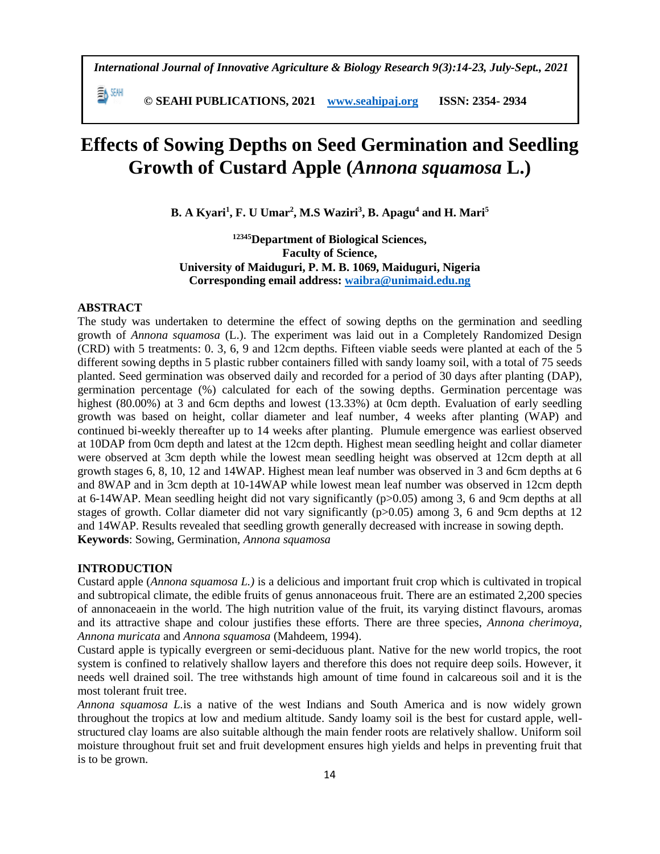*International Journal of Innovative Agriculture & Biology Research 9(3):14-23, July-Sept., 2021*

 **© SEAHI PUBLICATIONS, 2021 [www.seahipaj.org](http://www.seahipaj.org/) ISSN: 2354- 2934**

# **Effects of Sowing Depths on Seed Germination and Seedling Growth of Custard Apple (***Annona squamosa* **L.)**

**B. A Kyari<sup>1</sup> , F. U Umar<sup>2</sup> , M.S Waziri<sup>3</sup> , B. Apagu<sup>4</sup> and H. Mari<sup>5</sup>**

**<sup>12345</sup>Department of Biological Sciences, Faculty of Science, University of Maiduguri, P. M. B. 1069, Maiduguri, Nigeria Corresponding email address: [waibra@unimaid.edu.ng](mailto:waibra@unimaid.edu.ng)**

# **ABSTRACT**

EA SEAH

The study was undertaken to determine the effect of sowing depths on the germination and seedling growth of *Annona squamosa* (L.). The experiment was laid out in a Completely Randomized Design (CRD) with 5 treatments: 0. 3, 6, 9 and 12cm depths. Fifteen viable seeds were planted at each of the 5 different sowing depths in 5 plastic rubber containers filled with sandy loamy soil, with a total of 75 seeds planted. Seed germination was observed daily and recorded for a period of 30 days after planting (DAP), germination percentage (%) calculated for each of the sowing depths. Germination percentage was highest (80.00%) at 3 and 6cm depths and lowest (13.33%) at 0cm depth. Evaluation of early seedling growth was based on height, collar diameter and leaf number, 4 weeks after planting (WAP) and continued bi-weekly thereafter up to 14 weeks after planting. Plumule emergence was earliest observed at 10DAP from 0cm depth and latest at the 12cm depth. Highest mean seedling height and collar diameter were observed at 3cm depth while the lowest mean seedling height was observed at 12cm depth at all growth stages 6, 8, 10, 12 and 14WAP. Highest mean leaf number was observed in 3 and 6cm depths at 6 and 8WAP and in 3cm depth at 10-14WAP while lowest mean leaf number was observed in 12cm depth at 6-14WAP. Mean seedling height did not vary significantly (p>0.05) among 3, 6 and 9cm depths at all stages of growth. Collar diameter did not vary significantly (p>0.05) among 3, 6 and 9cm depths at 12 and 14WAP. Results revealed that seedling growth generally decreased with increase in sowing depth. **Keywords**: Sowing, Germination, *Annona squamosa*

#### **INTRODUCTION**

Custard apple (*Annona squamosa L.)* is a delicious and important fruit crop which is cultivated in tropical and subtropical climate, the edible fruits of genus annonaceous fruit. There are an estimated 2,200 species of annonaceaein in the world. The high nutrition value of the fruit, its varying distinct flavours, aromas and its attractive shape and colour justifies these efforts. There are three species, *Annona cherimoya, Annona muricata* and *Annona squamosa* (Mahdeem, 1994).

Custard apple is typically evergreen or semi-deciduous plant. Native for the new world tropics, the root system is confined to relatively shallow layers and therefore this does not require deep soils. However, it needs well drained soil. The tree withstands high amount of time found in calcareous soil and it is the most tolerant fruit tree.

*Annona squamosa L.*is a native of the west Indians and South America and is now widely grown throughout the tropics at low and medium altitude. Sandy loamy soil is the best for custard apple, wellstructured clay loams are also suitable although the main fender roots are relatively shallow. Uniform soil moisture throughout fruit set and fruit development ensures high yields and helps in preventing fruit that is to be grown.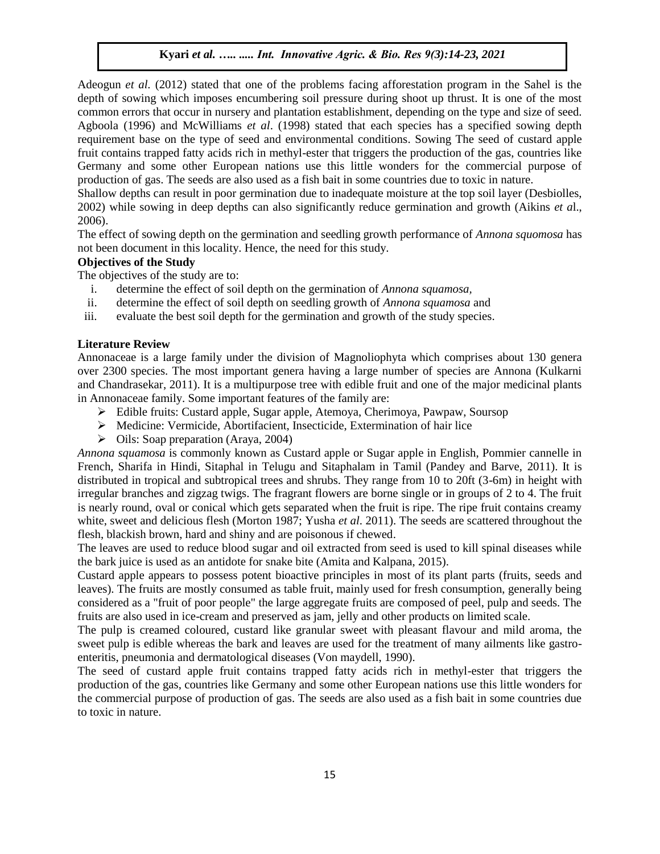Adeogun *et al.* (2012) stated that one of the problems facing afforestation program in the Sahel is the depth of sowing which imposes encumbering soil pressure during shoot up thrust. It is one of the most common errors that occur in nursery and plantation establishment, depending on the type and size of seed. Agboola (1996) and McWilliams *et al*. (1998) stated that each species has a specified sowing depth requirement base on the type of seed and environmental conditions. Sowing The seed of custard apple fruit contains trapped fatty acids rich in methyl-ester that triggers the production of the gas, countries like Germany and some other European nations use this little wonders for the commercial purpose of production of gas. The seeds are also used as a fish bait in some countries due to toxic in nature.

Shallow depths can result in poor germination due to inadequate moisture at the top soil layer (Desbiolles, 2002) while sowing in deep depths can also significantly reduce germination and growth (Aikins *et a*l., 2006).

The effect of sowing depth on the germination and seedling growth performance of *Annona squomosa* has not been document in this locality. Hence, the need for this study.

# **Objectives of the Study**

The objectives of the study are to:

- i. determine the effect of soil depth on the germination of *Annona squamosa,*
- ii. determine the effect of soil depth on seedling growth of *Annona squamosa* and
- iii. evaluate the best soil depth for the germination and growth of the study species.

#### **Literature Review**

Annonaceae is a large family under the division of Magnoliophyta which comprises about 130 genera over 2300 species. The most important genera having a large number of species are Annona (Kulkarni and Chandrasekar, 2011). It is a multipurpose tree with edible fruit and one of the major medicinal plants in Annonaceae family. Some important features of the family are:

- Edible fruits: Custard apple, Sugar apple, Atemoya, Cherimoya, Pawpaw, Soursop
- Medicine: Vermicide, Abortifacient, Insecticide, Extermination of hair lice
- $\triangleright$  Oils: Soap preparation (Araya, 2004)

*Annona squamosa* is commonly known as Custard apple or Sugar apple in English, Pommier cannelle in French, Sharifa in Hindi, Sitaphal in Telugu and Sitaphalam in Tamil (Pandey and Barve, 2011). It is distributed in tropical and subtropical trees and shrubs. They range from 10 to 20ft (3-6m) in height with irregular branches and zigzag twigs. The fragrant flowers are borne single or in groups of 2 to 4. The fruit is nearly round, oval or conical which gets separated when the fruit is ripe. The ripe fruit contains creamy white, sweet and delicious flesh (Morton 1987; Yusha *et al*. 2011). The seeds are scattered throughout the flesh, blackish brown, hard and shiny and are poisonous if chewed.

The leaves are used to reduce blood sugar and oil extracted from seed is used to kill spinal diseases while the bark juice is used as an antidote for snake bite (Amita and Kalpana, 2015).

Custard apple appears to possess potent bioactive principles in most of its plant parts (fruits, seeds and leaves). The fruits are mostly consumed as table fruit, mainly used for fresh consumption, generally being considered as a "fruit of poor people" the large aggregate fruits are composed of peel, pulp and seeds. The fruits are also used in ice-cream and preserved as jam, jelly and other products on limited scale.

The pulp is creamed coloured, custard like granular sweet with pleasant flavour and mild aroma, the sweet pulp is edible whereas the bark and leaves are used for the treatment of many ailments like gastroenteritis, pneumonia and dermatological diseases (Von maydell, 1990).

The seed of custard apple fruit contains trapped fatty acids rich in methyl-ester that triggers the production of the gas, countries like Germany and some other European nations use this little wonders for the commercial purpose of production of gas. The seeds are also used as a fish bait in some countries due to toxic in nature.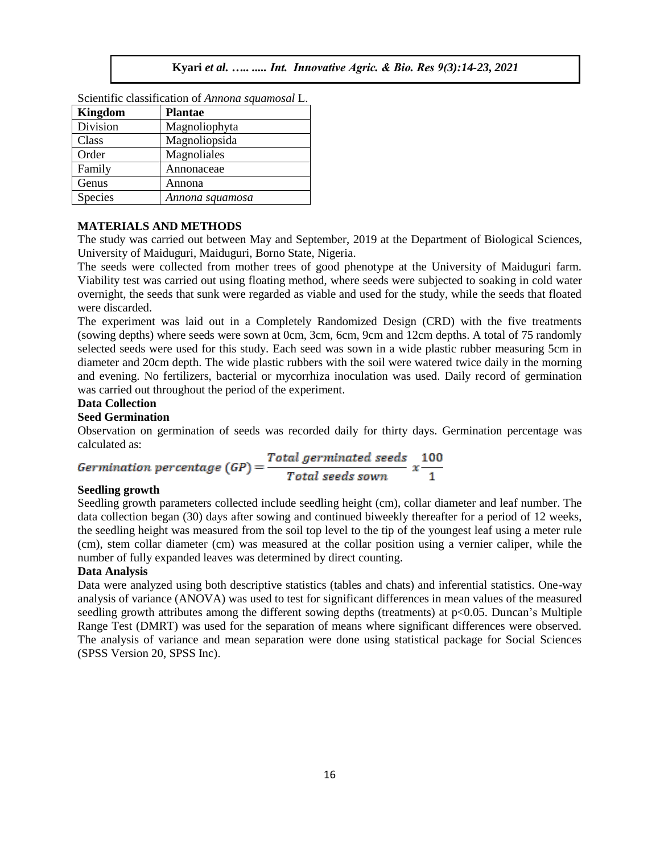| эсісінің ставянсанын от типили здиатозат Е. |                 |  |  |  |
|---------------------------------------------|-----------------|--|--|--|
| <b>Kingdom</b>                              | <b>Plantae</b>  |  |  |  |
| Division                                    | Magnoliophyta   |  |  |  |
| Class                                       | Magnoliopsida   |  |  |  |
| Order                                       | Magnoliales     |  |  |  |
| Family                                      | Annonaceae      |  |  |  |
| Genus                                       | Annona          |  |  |  |
| Species                                     | Annona squamosa |  |  |  |

Scientific classification of *Annona squamosal* L.

#### **MATERIALS AND METHODS**

The study was carried out between May and September, 2019 at the Department of Biological Sciences, University of Maiduguri, Maiduguri, Borno State, Nigeria.

The seeds were collected from mother trees of good phenotype at the University of Maiduguri farm. Viability test was carried out using floating method, where seeds were subjected to soaking in cold water overnight, the seeds that sunk were regarded as viable and used for the study, while the seeds that floated were discarded.

The experiment was laid out in a Completely Randomized Design (CRD) with the five treatments (sowing depths) where seeds were sown at 0cm, 3cm, 6cm, 9cm and 12cm depths. A total of 75 randomly selected seeds were used for this study. Each seed was sown in a wide plastic rubber measuring 5cm in diameter and 20cm depth. The wide plastic rubbers with the soil were watered twice daily in the morning and evening. No fertilizers, bacterial or mycorrhiza inoculation was used. Daily record of germination was carried out throughout the period of the experiment.

# **Data Collection**

# **Seed Germination**

Observation on germination of seeds was recorded daily for thirty days. Germination percentage was calculated as:

$$
Germanation\ percentage\ (GP) = \frac{Total\ germinated\ seeds}{Total\ seeds\ sown} \ x \frac{100}{1}
$$

#### **Seedling growth**

Seedling growth parameters collected include seedling height (cm), collar diameter and leaf number. The data collection began (30) days after sowing and continued biweekly thereafter for a period of 12 weeks, the seedling height was measured from the soil top level to the tip of the youngest leaf using a meter rule (cm), stem collar diameter (cm) was measured at the collar position using a vernier caliper, while the number of fully expanded leaves was determined by direct counting.

#### **Data Analysis**

Data were analyzed using both descriptive statistics (tables and chats) and inferential statistics. One-way analysis of variance (ANOVA) was used to test for significant differences in mean values of the measured seedling growth attributes among the different sowing depths (treatments) at p<0.05. Duncan's Multiple Range Test (DMRT) was used for the separation of means where significant differences were observed. The analysis of variance and mean separation were done using statistical package for Social Sciences (SPSS Version 20, SPSS Inc).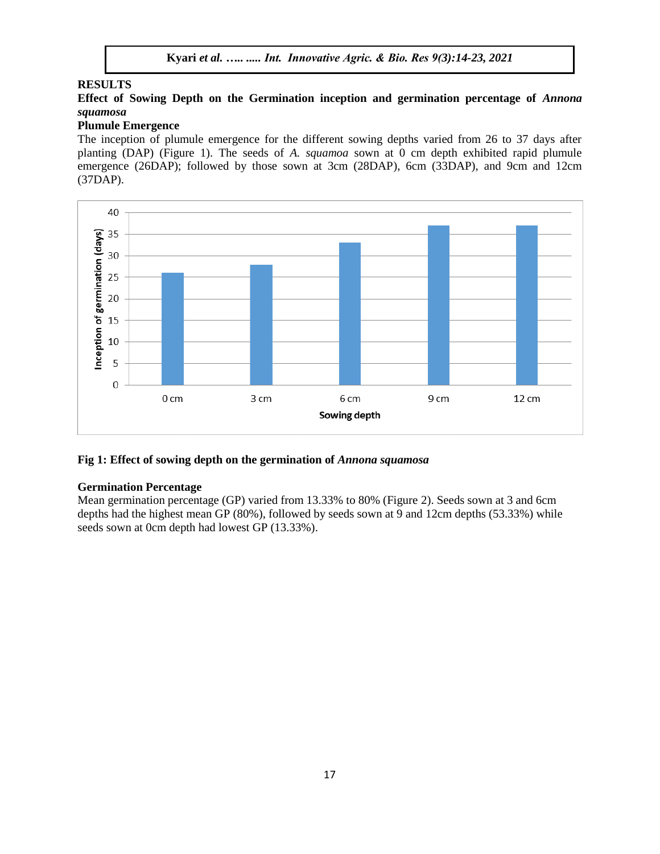#### **RESULTS**

# **Effect of Sowing Depth on the Germination inception and germination percentage of** *Annona squamosa*

# **Plumule Emergence**

The inception of plumule emergence for the different sowing depths varied from 26 to 37 days after planting (DAP) (Figure 1). The seeds of *A. squamoa* sown at 0 cm depth exhibited rapid plumule emergence (26DAP); followed by those sown at 3cm (28DAP), 6cm (33DAP), and 9cm and 12cm (37DAP).



# **Fig 1: Effect of sowing depth on the germination of** *Annona squamosa*

#### **Germination Percentage**

Mean germination percentage (GP) varied from 13.33% to 80% (Figure 2). Seeds sown at 3 and 6cm depths had the highest mean GP (80%), followed by seeds sown at 9 and 12cm depths (53.33%) while seeds sown at 0cm depth had lowest GP (13.33%).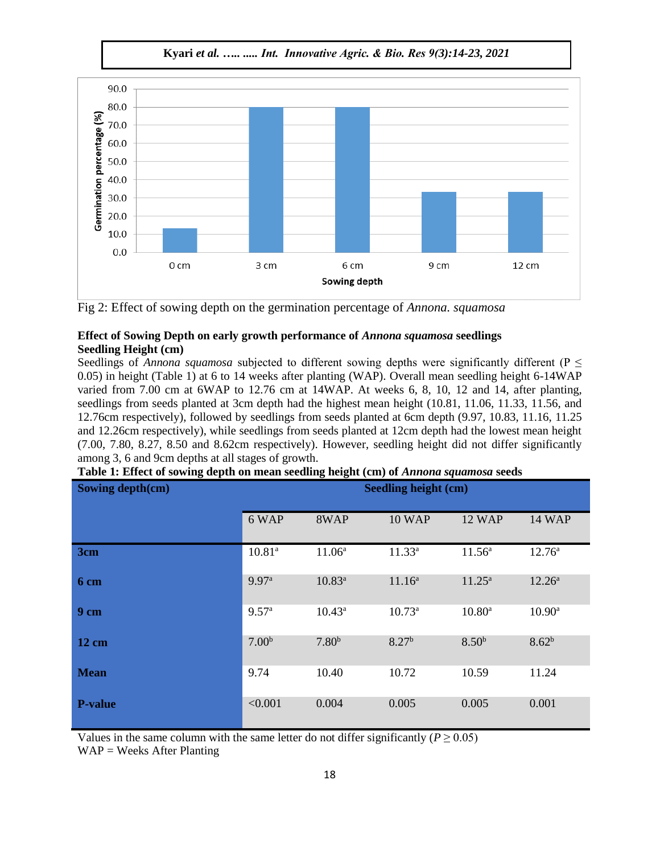**Kyari** *et al. ….. ..... Int. Innovative Agric. & Bio. Res 9(3):14-23, 2021*



Fig 2: Effect of sowing depth on the germination percentage of *Annona. squamosa*

# **Effect of Sowing Depth on early growth performance of** *Annona squamosa* **seedlings Seedling Height (cm)**

Seedlings of *Annona squamosa* subjected to different sowing depths were significantly different ( $P \leq$ 0.05) in height (Table 1) at 6 to 14 weeks after planting (WAP). Overall mean seedling height 6-14WAP varied from 7.00 cm at 6WAP to 12.76 cm at 14WAP. At weeks 6, 8, 10, 12 and 14, after planting, seedlings from seeds planted at 3cm depth had the highest mean height (10.81, 11.06, 11.33, 11.56, and 12.76cm respectively), followed by seedlings from seeds planted at 6cm depth (9.97, 10.83, 11.16, 11.25 and 12.26cm respectively), while seedlings from seeds planted at 12cm depth had the lowest mean height (7.00, 7.80, 8.27, 8.50 and 8.62cm respectively). However, seedling height did not differ significantly among 3, 6 and 9cm depths at all stages of growth.

| Sowing depth(cm) | <b>Seedling height (cm)</b> |                    |                    |                   |                 |
|------------------|-----------------------------|--------------------|--------------------|-------------------|-----------------|
|                  | 6 WAP                       | 8WAP               | <b>10 WAP</b>      | <b>12 WAP</b>     | <b>14 WAP</b>   |
| 3cm              | $10.81^{a}$                 | 11.06 <sup>a</sup> | $11.33^{a}$        | $11.56^a$         | $12.76^{\circ}$ |
| 6 cm             | 9.97 <sup>a</sup>           | $10.83^{a}$        | 11.16 <sup>a</sup> | $11.25^a$         | $12.26^a$       |
| 9 <sub>cm</sub>  | 9.57 <sup>a</sup>           | $10.43^a$          | $10.73^a$          | $10.80^{\rm a}$   | $10.90^{\rm a}$ |
| $12 \text{ cm}$  | 7.00 <sup>b</sup>           | 7.80 <sup>b</sup>  | 8.27 <sup>b</sup>  | 8.50 <sup>b</sup> | $8.62^{b}$      |
| <b>Mean</b>      | 9.74                        | 10.40              | 10.72              | 10.59             | 11.24           |
| <b>P-value</b>   | < 0.001                     | 0.004              | 0.005              | 0.005             | 0.001           |

|  | Table 1: Effect of sowing depth on mean seedling height (cm) of Annona squamosa seeds |  |
|--|---------------------------------------------------------------------------------------|--|

Values in the same column with the same letter do not differ significantly ( $P \ge 0.05$ )

 $WAP = \text{Weeks After Planning}$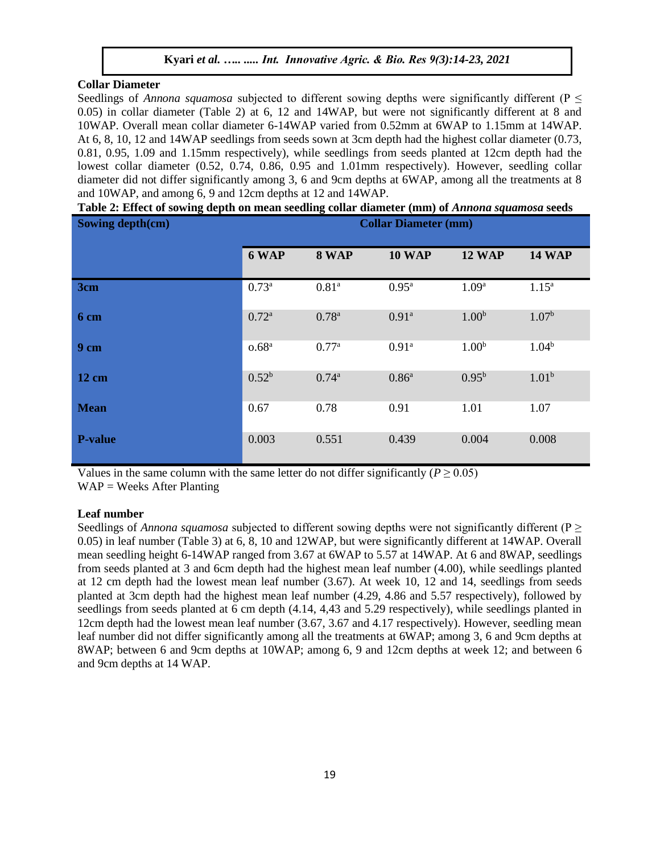#### **Collar Diameter**

Seedlings of *Annona squamosa* subjected to different sowing depths were significantly different ( $P \leq$ 0.05) in collar diameter (Table 2) at 6, 12 and 14WAP, but were not significantly different at 8 and 10WAP. Overall mean collar diameter 6-14WAP varied from 0.52mm at 6WAP to 1.15mm at 14WAP. At 6, 8, 10, 12 and 14WAP seedlings from seeds sown at 3cm depth had the highest collar diameter (0.73, 0.81, 0.95, 1.09 and 1.15mm respectively), while seedlings from seeds planted at 12cm depth had the lowest collar diameter (0.52, 0.74, 0.86, 0.95 and 1.01mm respectively). However, seedling collar diameter did not differ significantly among 3, 6 and 9cm depths at 6WAP, among all the treatments at 8 and 10WAP, and among 6, 9 and 12cm depths at 12 and 14WAP.

**Sowing depth(cm) Collar Diameter (mm) 6 WAP 8 WAP 10 WAP 12 WAP 14 WAP 3cm 0.73<sup>a</sup> 0.81<sup>a</sup> 0.81<sup>a</sup> 0.95<sup>a</sup> 1.09<sup>a</sup> 1.15<sup>a</sup> 6 cm 6 cm 1.00**<sup>b</sup> 1.07<sup>b</sup> 1.07<sup>b</sup> **9 cm o.68**<sup>a</sup> **0.77**<sup>a</sup> **0.91**<sup>a</sup> **1.00**<sup>b</sup> **1.04**<sup>b</sup> **12 cm 12 cm 12 cm 1.01b 0.52<sup>b</sup> <b>0.74**<sup>a</sup> **0.86**<sup>a</sup> **0.95**<sup>b</sup> **1.01**<sup>b</sup> **Mean** 1.01 1.07 **0.67** 0.78 0.91 1.01 1.07 **P-value** 0.003 0.551 0.439 0.004 0.008

**Table 2: Effect of sowing depth on mean seedling collar diameter (mm) of** *Annona squamosa* **seeds**

Values in the same column with the same letter do not differ significantly ( $P \ge 0.05$ )  $WAP = \text{Weeks After Planning}$ 

#### **Leaf number**

Seedlings of *Annona squamosa* subjected to different sowing depths were not significantly different (P ≥ 0.05) in leaf number (Table 3) at 6, 8, 10 and 12WAP, but were significantly different at 14WAP. Overall mean seedling height 6-14WAP ranged from 3.67 at 6WAP to 5.57 at 14WAP. At 6 and 8WAP, seedlings from seeds planted at 3 and 6cm depth had the highest mean leaf number (4.00), while seedlings planted at 12 cm depth had the lowest mean leaf number (3.67). At week 10, 12 and 14, seedlings from seeds planted at 3cm depth had the highest mean leaf number (4.29, 4.86 and 5.57 respectively), followed by seedlings from seeds planted at 6 cm depth (4.14, 4,43 and 5.29 respectively), while seedlings planted in 12cm depth had the lowest mean leaf number (3.67, 3.67 and 4.17 respectively). However, seedling mean leaf number did not differ significantly among all the treatments at 6WAP; among 3, 6 and 9cm depths at 8WAP; between 6 and 9cm depths at 10WAP; among 6, 9 and 12cm depths at week 12; and between 6 and 9cm depths at 14 WAP.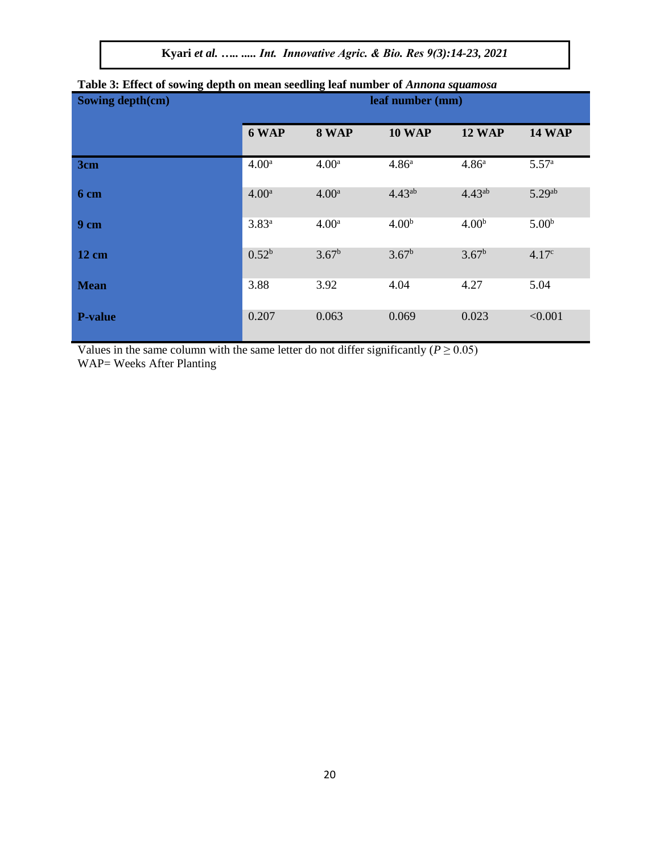**Kyari** *et al. ….. ..... Int. Innovative Agric. & Bio. Res 9(3):14-23, 2021*

| Sowing depth(cm) | leaf number (mm)  |                   |                   |                   |                    |
|------------------|-------------------|-------------------|-------------------|-------------------|--------------------|
|                  | 6 WAP             | 8 WAP             | <b>10 WAP</b>     | <b>12 WAP</b>     | <b>14 WAP</b>      |
| 3cm              | 4.00 <sup>a</sup> | 4.00 <sup>a</sup> | 4.86 <sup>a</sup> | 4.86 <sup>a</sup> | 5.57 <sup>a</sup>  |
| 6 cm             | 4.00 <sup>a</sup> | 4.00 <sup>a</sup> | $4.43^{ab}$       | $4.43^{ab}$       | 5.29 <sup>ab</sup> |
| 9 <sub>cm</sub>  | $3.83^{a}$        | 4.00 <sup>a</sup> | 4.00 <sup>b</sup> | 4.00 <sup>b</sup> | 5.00 <sup>b</sup>  |
| $12 \text{ cm}$  | $0.52^{b}$        | $3.67^{\rm b}$    | $3.67^{\rm b}$    | $3.67^{\rm b}$    | 4.17 <sup>c</sup>  |
| <b>Mean</b>      | 3.88              | 3.92              | 4.04              | 4.27              | 5.04               |
| <b>P-value</b>   | 0.207             | 0.063             | 0.069             | 0.023             | < 0.001            |

# **Table 3: Effect of sowing depth on mean seedling leaf number of** *Annona squamosa*

Values in the same column with the same letter do not differ significantly ( $P \ge 0.05$ ) WAP= Weeks After Planting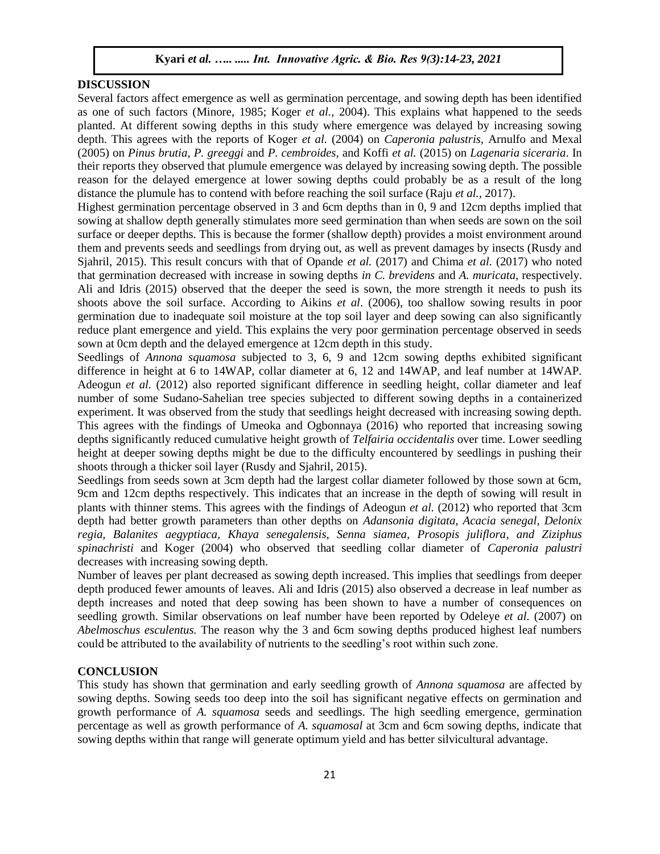# **DISCUSSION**

Several factors affect emergence as well as germination percentage, and sowing depth has been identified as one of such factors (Minore, 1985; Koger *et al.,* 2004). This explains what happened to the seeds planted. At different sowing depths in this study where emergence was delayed by increasing sowing depth. This agrees with the reports of Koger *et al.* (2004) on *Caperonia palustris,* Arnulfo and Mexal (2005) on *Pinus brutia, P. greeggi* and *P. cembroides,* and Koffi *et al.* (2015) on *Lagenaria siceraria*. In their reports they observed that plumule emergence was delayed by increasing sowing depth. The possible reason for the delayed emergence at lower sowing depths could probably be as a result of the long distance the plumule has to contend with before reaching the soil surface (Raju *et al.,* 2017).

Highest germination percentage observed in 3 and 6cm depths than in 0, 9 and 12cm depths implied that sowing at shallow depth generally stimulates more seed germination than when seeds are sown on the soil surface or deeper depths. This is because the former (shallow depth) provides a moist environment around them and prevents seeds and seedlings from drying out, as well as prevent damages by insects (Rusdy and Sjahril, 2015). This result concurs with that of Opande *et al.* (2017) and Chima *et al.* (2017) who noted that germination decreased with increase in sowing depths *in C. brevidens* and *A. muricata,* respectively. Ali and Idris (2015) observed that the deeper the seed is sown, the more strength it needs to push its shoots above the soil surface. According to Aikins *et al*. (2006), too shallow sowing results in poor germination due to inadequate soil moisture at the top soil layer and deep sowing can also significantly reduce plant emergence and yield. This explains the very poor germination percentage observed in seeds sown at 0cm depth and the delayed emergence at 12cm depth in this study.

Seedlings of *Annona squamosa* subjected to 3, 6, 9 and 12cm sowing depths exhibited significant difference in height at 6 to 14WAP, collar diameter at 6, 12 and 14WAP, and leaf number at 14WAP. Adeogun *et al.* (2012) also reported significant difference in seedling height, collar diameter and leaf number of some Sudano-Sahelian tree species subjected to different sowing depths in a containerized experiment. It was observed from the study that seedlings height decreased with increasing sowing depth. This agrees with the findings of Umeoka and Ogbonnaya (2016) who reported that increasing sowing depths significantly reduced cumulative height growth of *Telfairia occidentalis* over time. Lower seedling height at deeper sowing depths might be due to the difficulty encountered by seedlings in pushing their shoots through a thicker soil layer (Rusdy and Sjahril, 2015).

Seedlings from seeds sown at 3cm depth had the largest collar diameter followed by those sown at 6cm, 9cm and 12cm depths respectively. This indicates that an increase in the depth of sowing will result in plants with thinner stems. This agrees with the findings of Adeogun *et al.* (2012) who reported that 3cm depth had better growth parameters than other depths on *Adansonia digitata, Acacia senegal, Delonix regia, Balanites aegyptiaca, Khaya senegalensis, Senna siamea, Prosopis juliflora, and Ziziphus spinachristi* and Koger (2004) who observed that seedling collar diameter of *Caperonia palustri*  decreases with increasing sowing depth.

Number of leaves per plant decreased as sowing depth increased. This implies that seedlings from deeper depth produced fewer amounts of leaves. Ali and Idris (2015) also observed a decrease in leaf number as depth increases and noted that deep sowing has been shown to have a number of consequences on seedling growth. Similar observations on leaf number have been reported by Odeleye *et al.* (2007) on *Abelmoschus esculentus.* The reason why the 3 and 6cm sowing depths produced highest leaf numbers could be attributed to the availability of nutrients to the seedling's root within such zone.

#### **CONCLUSION**

This study has shown that germination and early seedling growth of *Annona squamosa* are affected by sowing depths. Sowing seeds too deep into the soil has significant negative effects on germination and growth performance of *A. squamosa* seeds and seedlings. The high seedling emergence, germination percentage as well as growth performance of *A. squamosal* at 3cm and 6cm sowing depths, indicate that sowing depths within that range will generate optimum yield and has better silvicultural advantage.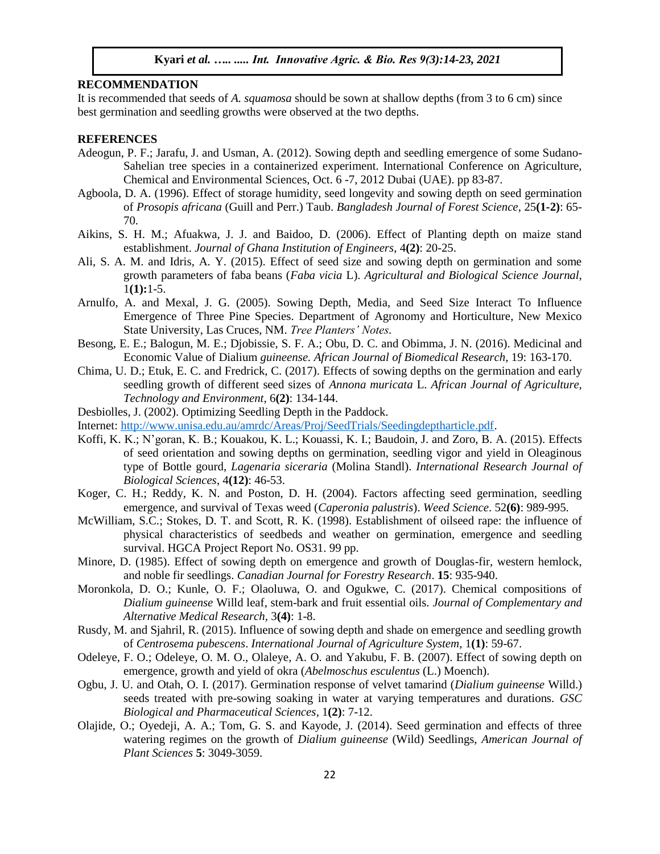#### **RECOMMENDATION**

It is recommended that seeds of *A. squamosa* should be sown at shallow depths (from 3 to 6 cm) since best germination and seedling growths were observed at the two depths.

#### **REFERENCES**

- Adeogun, P. F.; Jarafu, J. and Usman, A. (2012). Sowing depth and seedling emergence of some Sudano-Sahelian tree species in a containerized experiment. International Conference on Agriculture, Chemical and Environmental Sciences, Oct. 6 -7, 2012 Dubai (UAE). pp 83-87.
- Agboola, D. A. (1996). Effect of storage humidity, seed longevity and sowing depth on seed germination of *Prosopis africana* (Guill and Perr.) Taub. *Bangladesh Journal of Forest Science*, 25**(1-2)**: 65- 70.
- Aikins, S. H. M.; Afuakwa, J. J. and Baidoo, D. (2006). Effect of Planting depth on maize stand establishment. *Journal of Ghana Institution of Engineers*, 4**(2)**: 20-25.
- Ali, S. A. M. and Idris, A. Y. (2015). Effect of seed size and sowing depth on germination and some growth parameters of faba beans (*Faba vicia* L). *Agricultural and Biological Science Journal,*  1**(1):**1-5.
- Arnulfo, A. and Mexal, J. G. (2005). Sowing Depth, Media, and Seed Size Interact To Influence Emergence of Three Pine Species. Department of Agronomy and Horticulture, New Mexico State University, Las Cruces, NM. *Tree Planters' Notes.*
- Besong, E. E.; Balogun, M. E.; Djobissie, S. F. A.; Obu, D. C. and Obimma, J. N. (2016). Medicinal and Economic Value of Dialium *guineense. African Journal of Biomedical Research,* 19: 163-170.
- Chima, U. D.; Etuk, E. C. and Fredrick, C. (2017). Effects of sowing depths on the germination and early seedling growth of different seed sizes of *Annona muricata* L. *African Journal of Agriculture, Technology and Environment,* 6**(2)**: 134-144.
- Desbiolles, J. (2002). Optimizing Seedling Depth in the Paddock.
- Internet: [http://www.unisa.edu.au/amrdc/Areas/Proj/SeedTrials/Seedingdeptharticle.pdf.](http://www.unisa.edu.au/amrdc/Areas/Proj/SeedTrials/Seedingdeptharticle.pdf)
- Koffi, K. K.; N'goran, K. B.; Kouakou, K. L.; Kouassi, K. I.; Baudoin, J. and Zoro, B. A. (2015). Effects of seed orientation and sowing depths on germination, seedling vigor and yield in Oleaginous type of Bottle gourd, *Lagenaria siceraria* (Molina Standl). *International Research Journal of Biological Sciences*, 4**(12)**: 46-53.
- Koger, C. H.; Reddy, K. N. and Poston, D. H. (2004). Factors affecting seed germination, seedling emergence, and survival of Texas weed (*Caperonia palustris*). *Weed Science*. 52**(6)**: 989-995.
- McWilliam, S.C.; Stokes, D. T. and Scott, R. K. (1998). Establishment of oilseed rape: the influence of physical characteristics of seedbeds and weather on germination, emergence and seedling survival. HGCA Project Report No. OS31. 99 pp.
- Minore, D. (1985). Effect of sowing depth on emergence and growth of Douglas-fir, western hemlock, and noble fir seedlings. *Canadian Journal for Forestry Research*. **15**: 935-940.
- Moronkola, D. O.; Kunle, O. F.; Olaoluwa, O. and Ogukwe, C. (2017). Chemical compositions of *Dialium guineense* Willd leaf, stem-bark and fruit essential oils. *Journal of Complementary and Alternative Medical Research,* 3**(4)**: 1-8.
- Rusdy, M. and Sjahril, R. (2015). Influence of sowing depth and shade on emergence and seedling growth of *Centrosema pubescens*. *International Journal of Agriculture System*, 1**(1)**: 59-67.
- Odeleye, F. O.; Odeleye, O. M. O., Olaleye, A. O. and Yakubu, F. B. (2007). Effect of sowing depth on emergence, growth and yield of okra (*Abelmoschus esculentus* (L.) Moench).
- Ogbu, J. U. and Otah, O. I. (2017). Germination response of velvet tamarind (*Dialium guineense* Willd.) seeds treated with pre-sowing soaking in water at varying temperatures and durations. *GSC Biological and Pharmaceutical Sciences*, 1**(2)**: 7-12.
- Olajide, O.; Oyedeji, A. A.; Tom, G. S. and Kayode, J. (2014). Seed germination and effects of three watering regimes on the growth of *Dialium guineense* (Wild) Seedlings, *American Journal of Plant Sciences* **5**: 3049-3059.